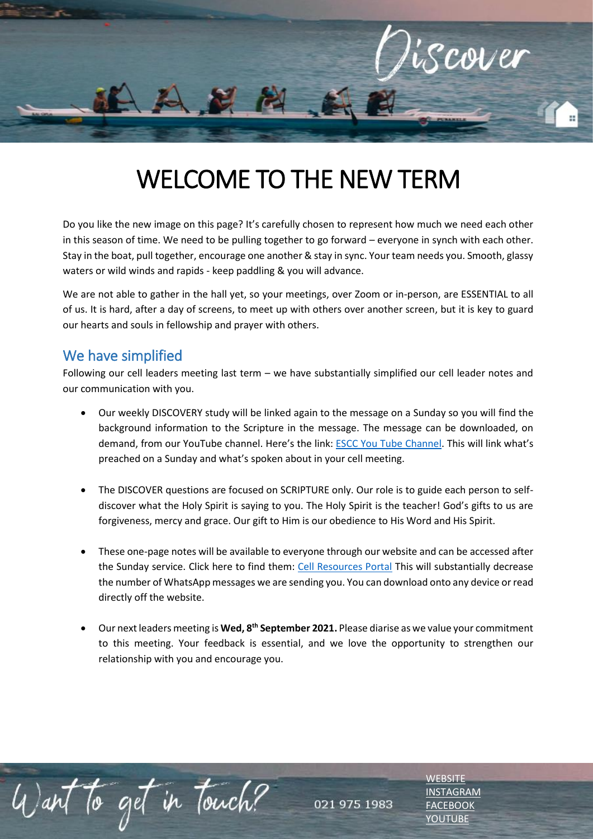

# WELCOME TO THE NEW TERM

Do you like the new image on this page? It's carefully chosen to represent how much we need each other in this season of time. We need to be pulling together to go forward – everyone in synch with each other. Stay in the boat, pull together, encourage one another & stay in sync. Your team needs you. Smooth, glassy waters or wild winds and rapids - keep paddling & you will advance.

We are not able to gather in the hall yet, so your meetings, over Zoom or in-person, are ESSENTIAL to all of us. It is hard, after a day of screens, to meet up with others over another screen, but it is key to guard our hearts and souls in fellowship and prayer with others.

### We have simplified

Want to get in Touch?

Following our cell leaders meeting last term – we have substantially simplified our cell leader notes and our communication with you.

- Our weekly DISCOVERY study will be linked again to the message on a Sunday so you will find the background information to the Scripture in the message. The message can be downloaded, on demand, from our YouTube channel. Here's the link: [ESCC You Tube Channel](https://www.youtube.com/c/ESCCDurbanville). This will link what's preached on a Sunday and what's spoken about in your cell meeting.
- The DISCOVER questions are focused on SCRIPTURE only. Our role is to guide each person to selfdiscover what the Holy Spirit is saying to you. The Holy Spirit is the teacher! God's gifts to us are forgiveness, mercy and grace. Our gift to Him is our obedience to His Word and His Spirit.
- These one-page notes will be available to everyone through our website and can be accessed after the Sunday service. Click here to find them: [Cell Resources Portal](https://escc.co.za/a-ministries/cell-groups/cell-group-guidelines-resources/) This will substantially decrease the number of WhatsApp messages we are sending you. You can download onto any device or read directly off the website.
- Our next leaders meeting is **Wed, 8th September 2021.** Please diarise as we value your commitment to this meeting. Your feedback is essential, and we love the opportunity to strengthen our relationship with you and encourage you.

021 975 1983

**NEBSITE** [INSTAGRAM](https://www.instagram.com/esccdurbanville/) [FACEBOOK](https://www.facebook.com/escc.za) [YOUTUBE](https://www.youtube.com/c/ESCCDurbanvilleV)